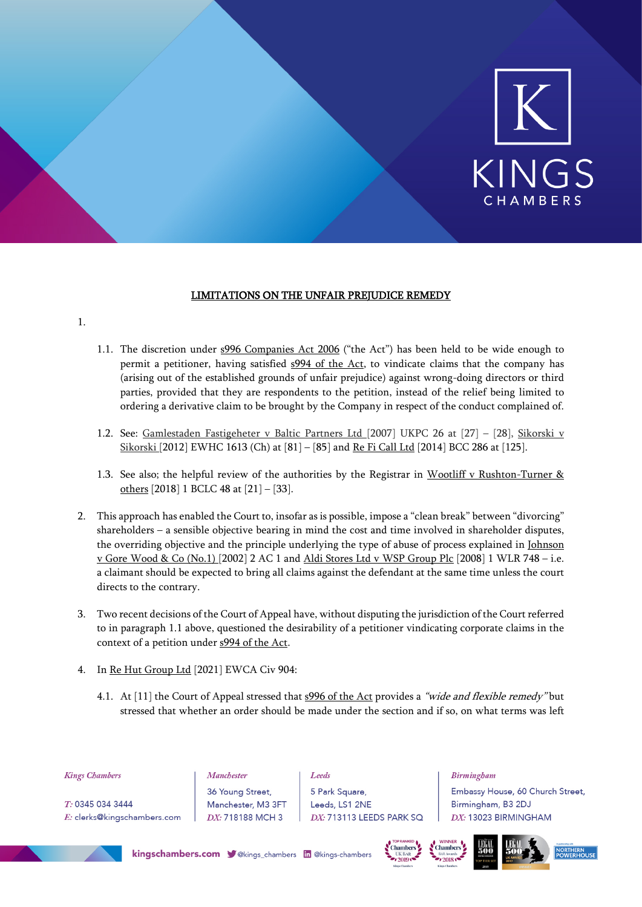

# LIMITATIONS ON THE UNFAIR PREJUDICE REMEDY

## 1.

- 1.1. The discretion under s996 Companies Act 2006 ("the Act") has been held to be wide enough to permit a petitioner, having satisfied  $s994$  of the Act, to vindicate claims that the company has (arising out of the established grounds of unfair prejudice) against wrong-doing directors or third parties, provided that they are respondents to the petition, instead of the relief being limited to ordering a derivative claim to be brought by the Company in respect of the conduct complained of.
- 1.2. See: Gamlestaden Fastigeheter v Baltic Partners Ltd [2007] UKPC 26 at [27] [28], Sikorski v Sikorski [2012] EWHC 1613 (Ch) at [81] – [85] and Re Fi Call Ltd [2014] BCC 286 at [125].
- 1.3. See also; the helpful review of the authorities by the Registrar in Wootliff v Rushton-Turner & others [2018] 1 BCLC 48 at [21] – [33].
- 2. This approach has enabled the Court to, insofar as is possible, impose a "clean break" between "divorcing" shareholders – a sensible objective bearing in mind the cost and time involved in shareholder disputes, the overriding objective and the principle underlying the type of abuse of process explained in Johnson v Gore Wood & Co (No.1) [2002] 2 AC 1 and Aldi Stores Ltd v WSP Group Plc [2008] 1 WLR 748 – i.e. a claimant should be expected to bring all claims against the defendant at the same time unless the court directs to the contrary.
- 3. Two recent decisions of the Court of Appeal have, without disputing the jurisdiction of the Court referred to in paragraph 1.1 above, questioned the desirability of a petitioner vindicating corporate claims in the context of a petition under s994 of the Act.
- 4. In Re Hut Group Ltd [2021] EWCA Civ 904:
	- 4.1. At [11] the Court of Appeal stressed that s996 of the Act provides a "wide and flexible remedy" but stressed that whether an order should be made under the section and if so, on what terms was left

| <b>Kings Chambers</b>       | <b>Manchester</b>  | Leeds                    | <b>Birmingham</b>                |
|-----------------------------|--------------------|--------------------------|----------------------------------|
|                             | 36 Young Street,   | 5 Park Square,           | Embassy House, 60 Church Street, |
| T: 0345 034 3444            | Manchester, M3 3FT | Leeds, LS1 2NE           | Birmingham, B3 2DJ               |
| E: clerks@kingschambers.com | DX: 718188 MCH 3   | DX: 713113 LEEDS PARK SQ | DX: 13023 BIRMINGHAM             |
|                             |                    |                          |                                  |



kingschambers.com V@kings\_chambers in @kings-chambers





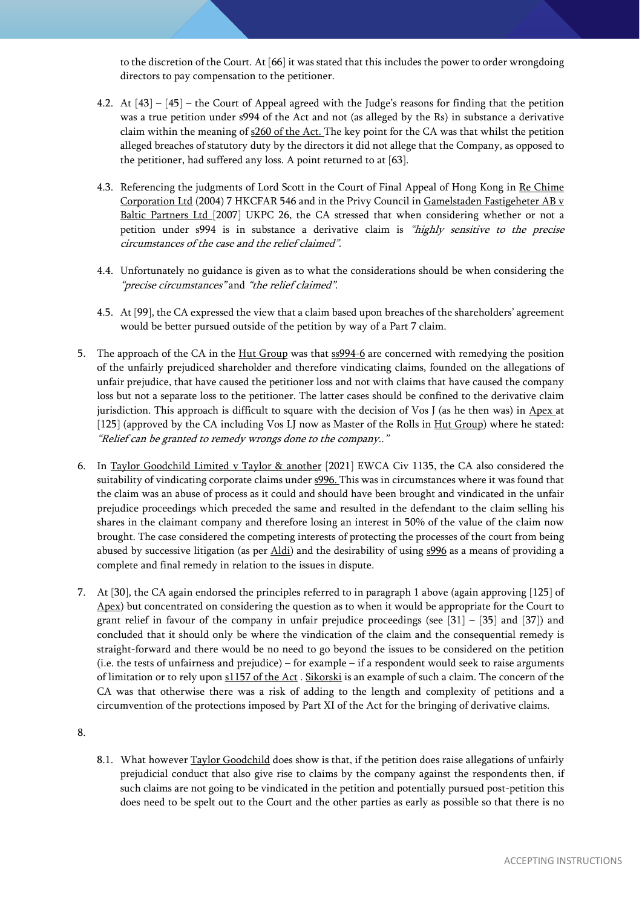to the discretion of the Court. At [66] it was stated that this includes the power to order wrongdoing directors to pay compensation to the petitioner.

- 4.2. At [43] [45] the Court of Appeal agreed with the Judge's reasons for finding that the petition was a true petition under s994 of the Act and not (as alleged by the Rs) in substance a derivative claim within the meaning of s260 of the Act. The key point for the CA was that whilst the petition alleged breaches of statutory duty by the directors it did not allege that the Company, as opposed to the petitioner, had suffered any loss. A point returned to at [63].
- 4.3. Referencing the judgments of Lord Scott in the Court of Final Appeal of Hong Kong in Re Chime Corporation Ltd (2004) 7 HKCFAR 546 and in the Privy Council in Gamelstaden Fastigeheter AB v Baltic Partners Ltd [2007] UKPC 26, the CA stressed that when considering whether or not a petition under s994 is in substance a derivative claim is "highly sensitive to the precise circumstances of the case and the relief claimed".
- 4.4. Unfortunately no guidance is given as to what the considerations should be when considering the "precise circumstances" and "the relief claimed".
- 4.5. At [99], the CA expressed the view that a claim based upon breaches of the shareholders' agreement would be better pursued outside of the petition by way of a Part 7 claim.
- 5. The approach of the CA in the <u>Hut Group</u> was that  $\frac{1}{2}$  are concerned with remedying the position of the unfairly prejudiced shareholder and therefore vindicating claims, founded on the allegations of unfair prejudice, that have caused the petitioner loss and not with claims that have caused the company loss but not a separate loss to the petitioner. The latter cases should be confined to the derivative claim jurisdiction. This approach is difficult to square with the decision of Vos J (as he then was) in Apex at [125] (approved by the CA including Vos LJ now as Master of the Rolls in Hut Group) where he stated: "Relief can be granted to remedy wrongs done to the company.."
- 6. In Taylor Goodchild Limited v Taylor & another [2021] EWCA Civ 1135, the CA also considered the suitability of vindicating corporate claims under s996. This was in circumstances where it was found that the claim was an abuse of process as it could and should have been brought and vindicated in the unfair prejudice proceedings which preceded the same and resulted in the defendant to the claim selling his shares in the claimant company and therefore losing an interest in 50% of the value of the claim now brought. The case considered the competing interests of protecting the processes of the court from being abused by successive litigation (as per Aldi) and the desirability of using s996 as a means of providing a complete and final remedy in relation to the issues in dispute.
- 7. At [30], the CA again endorsed the principles referred to in paragraph 1 above (again approving [125] of Apex) but concentrated on considering the question as to when it would be appropriate for the Court to grant relief in favour of the company in unfair prejudice proceedings (see  $[31] - [35]$  and  $[37]$ ) and concluded that it should only be where the vindication of the claim and the consequential remedy is straight-forward and there would be no need to go beyond the issues to be considered on the petition (i.e. the tests of unfairness and prejudice) – for example – if a respondent would seek to raise arguments of limitation or to rely upon s1157 of the Act . Sikorski is an example of such a claim. The concern of the CA was that otherwise there was a risk of adding to the length and complexity of petitions and a circumvention of the protections imposed by Part XI of the Act for the bringing of derivative claims.

8.1. What however Taylor Goodchild does show is that, if the petition does raise allegations of unfairly prejudicial conduct that also give rise to claims by the company against the respondents then, if such claims are not going to be vindicated in the petition and potentially pursued post-petition this does need to be spelt out to the Court and the other parties as early as possible so that there is no

<sup>8.</sup>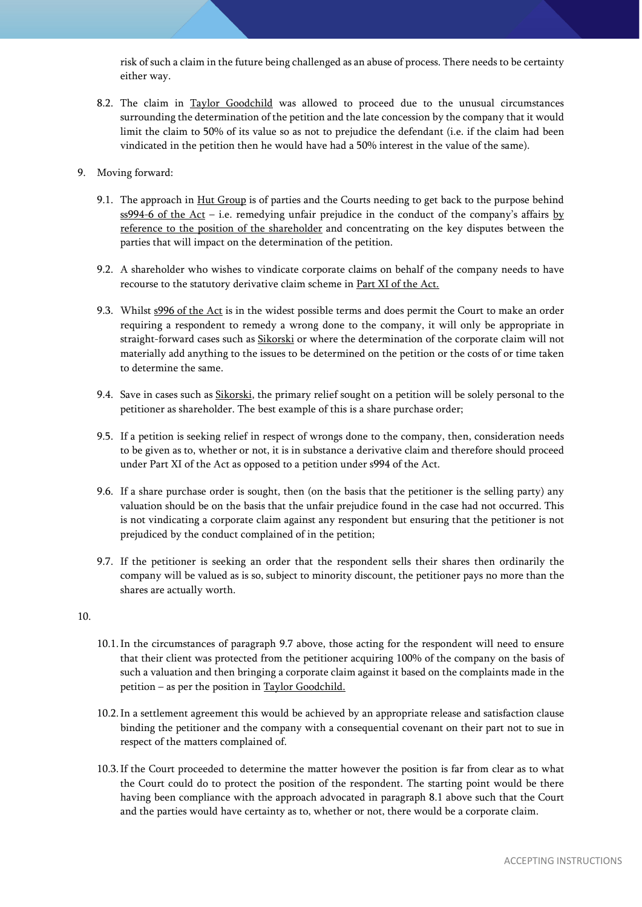risk of such a claim in the future being challenged as an abuse of process. There needs to be certainty either way.

8.2. The claim in Taylor Goodchild was allowed to proceed due to the unusual circumstances surrounding the determination of the petition and the late concession by the company that it would limit the claim to 50% of its value so as not to prejudice the defendant (i.e. if the claim had been vindicated in the petition then he would have had a 50% interest in the value of the same).

## 9. Moving forward:

- 9.1. The approach in Hut Group is of parties and the Courts needing to get back to the purpose behind ss994-6 of the Act – i.e. remedying unfair prejudice in the conduct of the company's affairs by reference to the position of the shareholder and concentrating on the key disputes between the parties that will impact on the determination of the petition.
- 9.2. A shareholder who wishes to vindicate corporate claims on behalf of the company needs to have recourse to the statutory derivative claim scheme in Part XI of the Act.
- 9.3. Whilst s996 of the Act is in the widest possible terms and does permit the Court to make an order requiring a respondent to remedy a wrong done to the company, it will only be appropriate in straight-forward cases such as Sikorski or where the determination of the corporate claim will not materially add anything to the issues to be determined on the petition or the costs of or time taken to determine the same.
- 9.4. Save in cases such as Sikorski, the primary relief sought on a petition will be solely personal to the petitioner as shareholder. The best example of this is a share purchase order;
- 9.5. If a petition is seeking relief in respect of wrongs done to the company, then, consideration needs to be given as to, whether or not, it is in substance a derivative claim and therefore should proceed under Part XI of the Act as opposed to a petition under s994 of the Act.
- 9.6. If a share purchase order is sought, then (on the basis that the petitioner is the selling party) any valuation should be on the basis that the unfair prejudice found in the case had not occurred. This is not vindicating a corporate claim against any respondent but ensuring that the petitioner is not prejudiced by the conduct complained of in the petition;
- 9.7. If the petitioner is seeking an order that the respondent sells their shares then ordinarily the company will be valued as is so, subject to minority discount, the petitioner pays no more than the shares are actually worth.

#### 10.

- 10.1.In the circumstances of paragraph 9.7 above, those acting for the respondent will need to ensure that their client was protected from the petitioner acquiring 100% of the company on the basis of such a valuation and then bringing a corporate claim against it based on the complaints made in the petition – as per the position in Taylor Goodchild.
- 10.2.In a settlement agreement this would be achieved by an appropriate release and satisfaction clause binding the petitioner and the company with a consequential covenant on their part not to sue in respect of the matters complained of.
- 10.3.If the Court proceeded to determine the matter however the position is far from clear as to what the Court could do to protect the position of the respondent. The starting point would be there having been compliance with the approach advocated in paragraph 8.1 above such that the Court and the parties would have certainty as to, whether or not, there would be a corporate claim.